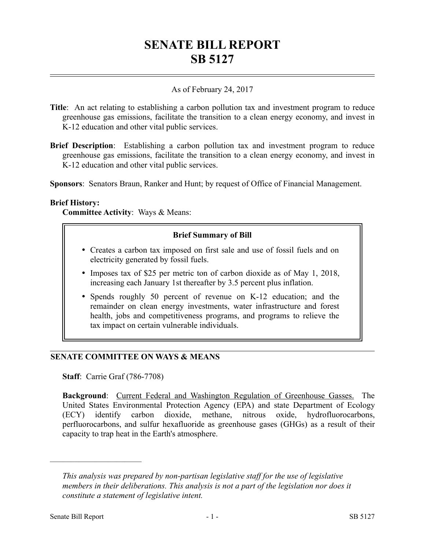# **SENATE BILL REPORT SB 5127**

# As of February 24, 2017

- **Title**: An act relating to establishing a carbon pollution tax and investment program to reduce greenhouse gas emissions, facilitate the transition to a clean energy economy, and invest in K-12 education and other vital public services.
- **Brief Description**: Establishing a carbon pollution tax and investment program to reduce greenhouse gas emissions, facilitate the transition to a clean energy economy, and invest in K-12 education and other vital public services.

**Sponsors**: Senators Braun, Ranker and Hunt; by request of Office of Financial Management.

### **Brief History:**

**Committee Activity**: Ways & Means:

### **Brief Summary of Bill**

- Creates a carbon tax imposed on first sale and use of fossil fuels and on electricity generated by fossil fuels.
- Imposes tax of \$25 per metric ton of carbon dioxide as of May 1, 2018, increasing each January 1st thereafter by 3.5 percent plus inflation.
- Spends roughly 50 percent of revenue on K-12 education; and the remainder on clean energy investments, water infrastructure and forest health, jobs and competitiveness programs, and programs to relieve the tax impact on certain vulnerable individuals.

## **SENATE COMMITTEE ON WAYS & MEANS**

**Staff**: Carrie Graf (786-7708)

**Background**: Current Federal and Washington Regulation of Greenhouse Gasses. The United States Environmental Protection Agency (EPA) and state Department of Ecology (ECY) identify carbon dioxide, methane, nitrous oxide, hydrofluorocarbons, perfluorocarbons, and sulfur hexafluoride as greenhouse gases (GHGs) as a result of their capacity to trap heat in the Earth's atmosphere.

––––––––––––––––––––––

*This analysis was prepared by non-partisan legislative staff for the use of legislative members in their deliberations. This analysis is not a part of the legislation nor does it constitute a statement of legislative intent.*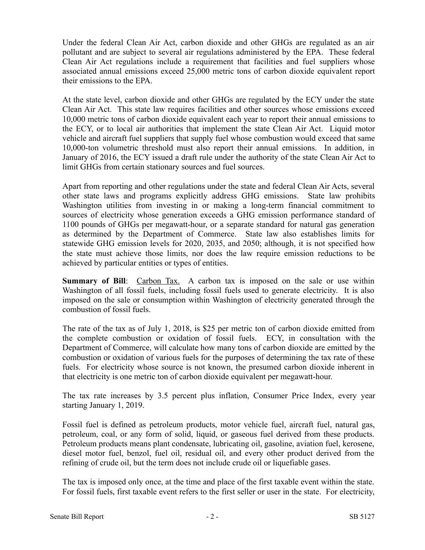Under the federal Clean Air Act, carbon dioxide and other GHGs are regulated as an air pollutant and are subject to several air regulations administered by the EPA. These federal Clean Air Act regulations include a requirement that facilities and fuel suppliers whose associated annual emissions exceed 25,000 metric tons of carbon dioxide equivalent report their emissions to the EPA.

At the state level, carbon dioxide and other GHGs are regulated by the ECY under the state Clean Air Act. This state law requires facilities and other sources whose emissions exceed 10,000 metric tons of carbon dioxide equivalent each year to report their annual emissions to the ECY, or to local air authorities that implement the state Clean Air Act. Liquid motor vehicle and aircraft fuel suppliers that supply fuel whose combustion would exceed that same 10,000-ton volumetric threshold must also report their annual emissions. In addition, in January of 2016, the ECY issued a draft rule under the authority of the state Clean Air Act to limit GHGs from certain stationary sources and fuel sources.

Apart from reporting and other regulations under the state and federal Clean Air Acts, several other state laws and programs explicitly address GHG emissions. State law prohibits Washington utilities from investing in or making a long-term financial commitment to sources of electricity whose generation exceeds a GHG emission performance standard of 1100 pounds of GHGs per megawatt-hour, or a separate standard for natural gas generation as determined by the Department of Commerce. State law also establishes limits for statewide GHG emission levels for 2020, 2035, and 2050; although, it is not specified how the state must achieve those limits, nor does the law require emission reductions to be achieved by particular entities or types of entities.

**Summary of Bill**: Carbon Tax. A carbon tax is imposed on the sale or use within Washington of all fossil fuels, including fossil fuels used to generate electricity. It is also imposed on the sale or consumption within Washington of electricity generated through the combustion of fossil fuels.

The rate of the tax as of July 1, 2018, is \$25 per metric ton of carbon dioxide emitted from the complete combustion or oxidation of fossil fuels. ECY, in consultation with the Department of Commerce, will calculate how many tons of carbon dioxide are emitted by the combustion or oxidation of various fuels for the purposes of determining the tax rate of these fuels. For electricity whose source is not known, the presumed carbon dioxide inherent in that electricity is one metric ton of carbon dioxide equivalent per megawatt-hour.

The tax rate increases by 3.5 percent plus inflation, Consumer Price Index, every year starting January 1, 2019.

Fossil fuel is defined as petroleum products, motor vehicle fuel, aircraft fuel, natural gas, petroleum, coal, or any form of solid, liquid, or gaseous fuel derived from these products. Petroleum products means plant condensate, lubricating oil, gasoline, aviation fuel, kerosene, diesel motor fuel, benzol, fuel oil, residual oil, and every other product derived from the refining of crude oil, but the term does not include crude oil or liquefiable gases.

The tax is imposed only once, at the time and place of the first taxable event within the state. For fossil fuels, first taxable event refers to the first seller or user in the state. For electricity,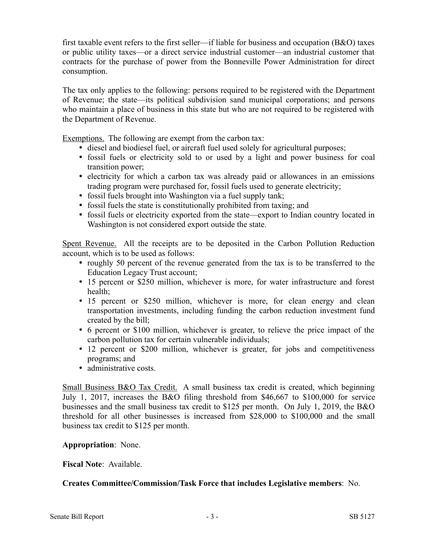first taxable event refers to the first seller—if liable for business and occupation (B&O) taxes or public utility taxes—or a direct service industrial customer—an industrial customer that contracts for the purchase of power from the Bonneville Power Administration for direct consumption.

The tax only applies to the following: persons required to be registered with the Department of Revenue; the state—its political subdivision sand municipal corporations; and persons who maintain a place of business in this state but who are not required to be registered with the Department of Revenue.

Exemptions. The following are exempt from the carbon tax:

- diesel and biodiesel fuel, or aircraft fuel used solely for agricultural purposes;
- fossil fuels or electricity sold to or used by a light and power business for coal transition power;
- electricity for which a carbon tax was already paid or allowances in an emissions trading program were purchased for, fossil fuels used to generate electricity;
- fossil fuels brought into Washington via a fuel supply tank;
- fossil fuels the state is constitutionally prohibited from taxing; and
- fossil fuels or electricity exported from the state—export to Indian country located in Washington is not considered export outside the state.

Spent Revenue. All the receipts are to be deposited in the Carbon Pollution Reduction account, which is to be used as follows:

- roughly 50 percent of the revenue generated from the tax is to be transferred to the Education Legacy Trust account;
- 15 percent or \$250 million, whichever is more, for water infrastructure and forest health;
- 15 percent or \$250 million, whichever is more, for clean energy and clean transportation investments, including funding the carbon reduction investment fund created by the bill;
- 6 percent or \$100 million, whichever is greater, to relieve the price impact of the carbon pollution tax for certain vulnerable individuals;
- 12 percent or \$200 million, whichever is greater, for jobs and competitiveness programs; and
- administrative costs.

Small Business B&O Tax Credit. A small business tax credit is created, which beginning July 1, 2017, increases the B&O filing threshold from \$46,667 to \$100,000 for service businesses and the small business tax credit to \$125 per month. On July 1, 2019, the B&O threshold for all other businesses is increased from \$28,000 to \$100,000 and the small business tax credit to \$125 per month.

#### **Appropriation**: None.

#### **Fiscal Note**: Available.

## **Creates Committee/Commission/Task Force that includes Legislative members**: No.